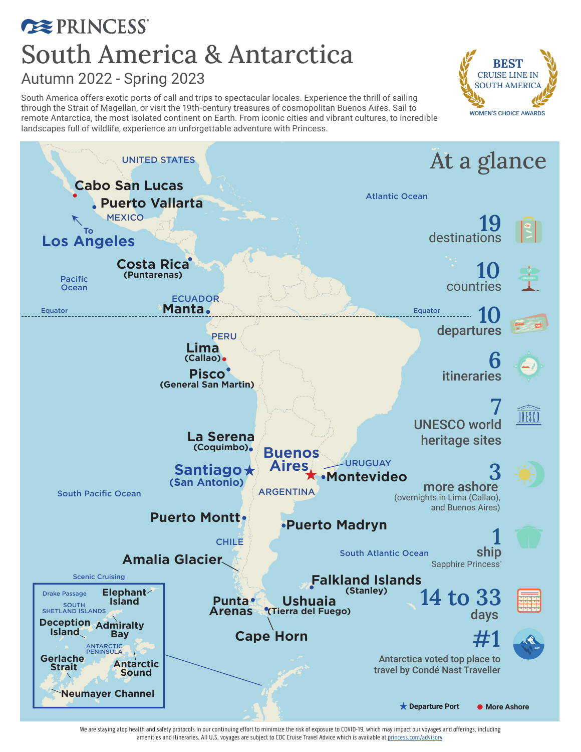### **EXPRINCESS** South America & Antarctica Autumn 2022 - Spring 2023

South America offers exotic ports of call and trips to spectacular locales. Experience the thrill of sailing through the Strait of Magellan, or visit the 19th-century treasures of cosmopolitan Buenos Aires. Sail to remote Antarctica, the most isolated continent on Earth. From iconic cities and vibrant cultures, to incredible landscapes full of wildlife, experience an unforgettable adventure with Princess.





We are staying atop health and safety protocols in our continuing effort to minimize the risk of exposure to COVID-19, which may impact our voyages and offerings, including amenities and itineraries. All U.S. voyages are subject to CDC Cruise Travel Advice which is available at princess.com/advisory.